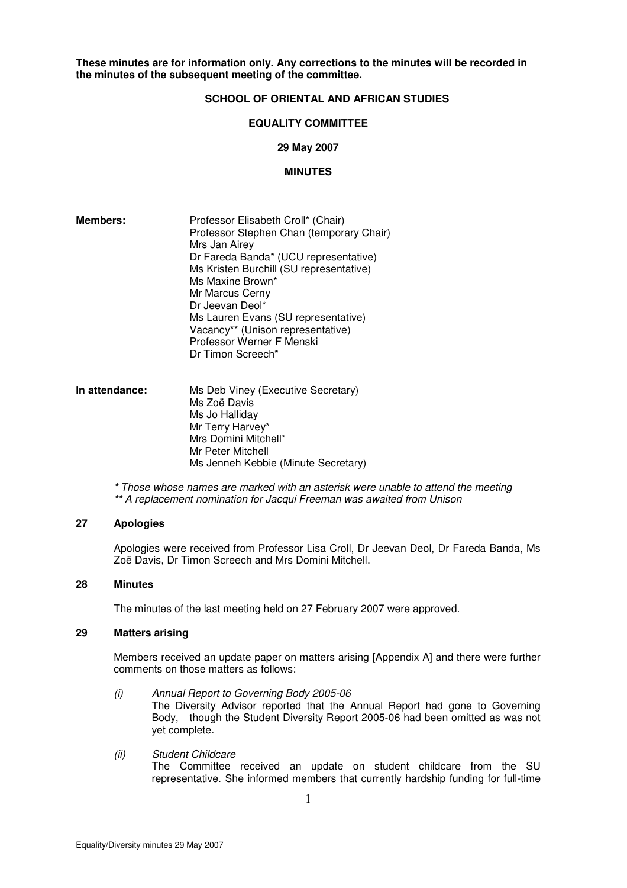**These minutes are for information only. Any corrections to the minutes will be recorded in the minutes of the subsequent meeting of the committee.**

# **SCHOOL OF ORIENTAL AND AFRICAN STUDIES**

### **EQUALITY COMMITTEE**

### **29 May 2007**

### **MINUTES**

| <b>Members:</b> | Professor Elisabeth Croll* (Chair)<br>Professor Stephen Chan (temporary Chair)<br>Mrs Jan Airey<br>Dr Fareda Banda* (UCU representative)<br>Ms Kristen Burchill (SU representative)<br>Ms Maxine Brown*<br>Mr Marcus Cerny<br>Dr Jeevan Deol* |
|-----------------|-----------------------------------------------------------------------------------------------------------------------------------------------------------------------------------------------------------------------------------------------|
|                 | Ms Lauren Evans (SU representative)<br>Vacancy** (Unison representative)<br>Professor Werner F Menski<br>Dr Timon Screech*                                                                                                                    |

**In attendance:** Ms Deb Viney (Executive Secretary) Ms Zoë Davis Ms Jo Halliday Mr Terry Harvey\* Mrs Domini Mitchell\* Mr Peter Mitchell Ms Jenneh Kebbie (Minute Secretary)

> \* Those whose names are marked with an asterisk were unable to attend the meeting \*\* A replacement nomination for Jacqui Freeman was awaited from Unison

### **27 Apologies**

Apologies were received from Professor Lisa Croll, Dr Jeevan Deol, Dr Fareda Banda, Ms Zoë Davis, Dr Timon Screech and Mrs Domini Mitchell.

### **28 Minutes**

The minutes of the last meeting held on 27 February 2007 were approved.

### **29 Matters arising**

Members received an update paper on matters arising [Appendix A] and there were further comments on those matters as follows:

- (i) Annual Report to Governing Body 2005-06 The Diversity Advisor reported that the Annual Report had gone to Governing Body, though the Student Diversity Report 2005-06 had been omitted as was not yet complete.
- (ii) Student Childcare The Committee received an update on student childcare from the SU representative. She informed members that currently hardship funding for full-time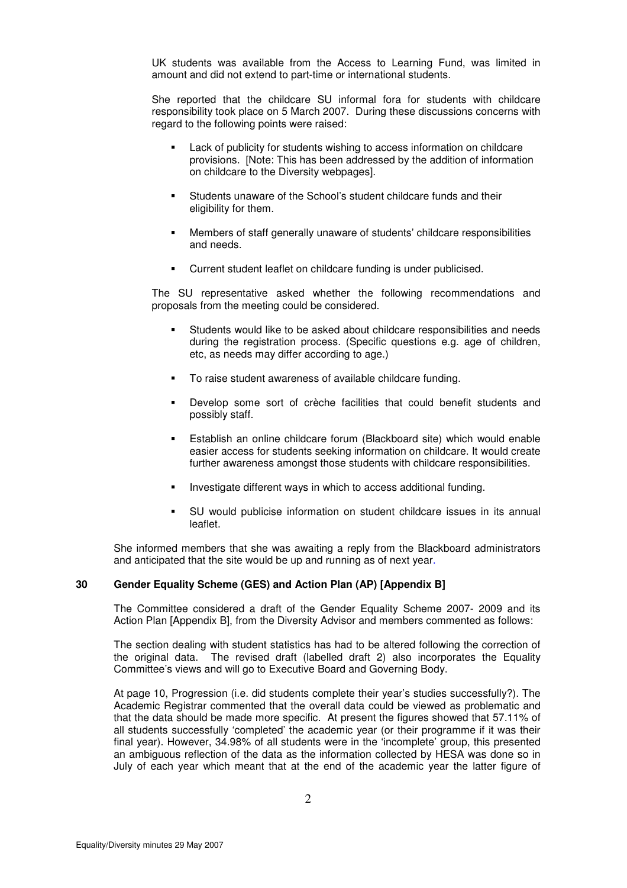UK students was available from the Access to Learning Fund, was limited in amount and did not extend to part-time or international students.

She reported that the childcare SU informal fora for students with childcare responsibility took place on 5 March 2007. During these discussions concerns with regard to the following points were raised:

- Lack of publicity for students wishing to access information on childcare provisions. [Note: This has been addressed by the addition of information on childcare to the Diversity webpages].
- Students unaware of the School's student childcare funds and their eligibility for them.
- Members of staff generally unaware of students' childcare responsibilities and needs.
- Current student leaflet on childcare funding is under publicised.

 The SU representative asked whether the following recommendations and proposals from the meeting could be considered.

- Students would like to be asked about childcare responsibilities and needs during the registration process. (Specific questions e.g. age of children, etc, as needs may differ according to age.)
- To raise student awareness of available childcare funding.
- Develop some sort of crèche facilities that could benefit students and possibly staff.
- Establish an online childcare forum (Blackboard site) which would enable easier access for students seeking information on childcare. It would create further awareness amongst those students with childcare responsibilities.
- Investigate different ways in which to access additional funding.
- SU would publicise information on student childcare issues in its annual leaflet.

She informed members that she was awaiting a reply from the Blackboard administrators and anticipated that the site would be up and running as of next year.

### **30 Gender Equality Scheme (GES) and Action Plan (AP) [Appendix B]**

The Committee considered a draft of the Gender Equality Scheme 2007- 2009 and its Action Plan [Appendix B], from the Diversity Advisor and members commented as follows:

The section dealing with student statistics has had to be altered following the correction of the original data. The revised draft (labelled draft 2) also incorporates the Equality Committee's views and will go to Executive Board and Governing Body.

At page 10, Progression (i.e. did students complete their year's studies successfully?). The Academic Registrar commented that the overall data could be viewed as problematic and that the data should be made more specific. At present the figures showed that 57.11% of all students successfully 'completed' the academic year (or their programme if it was their final year). However, 34.98% of all students were in the 'incomplete' group, this presented an ambiguous reflection of the data as the information collected by HESA was done so in July of each year which meant that at the end of the academic year the latter figure of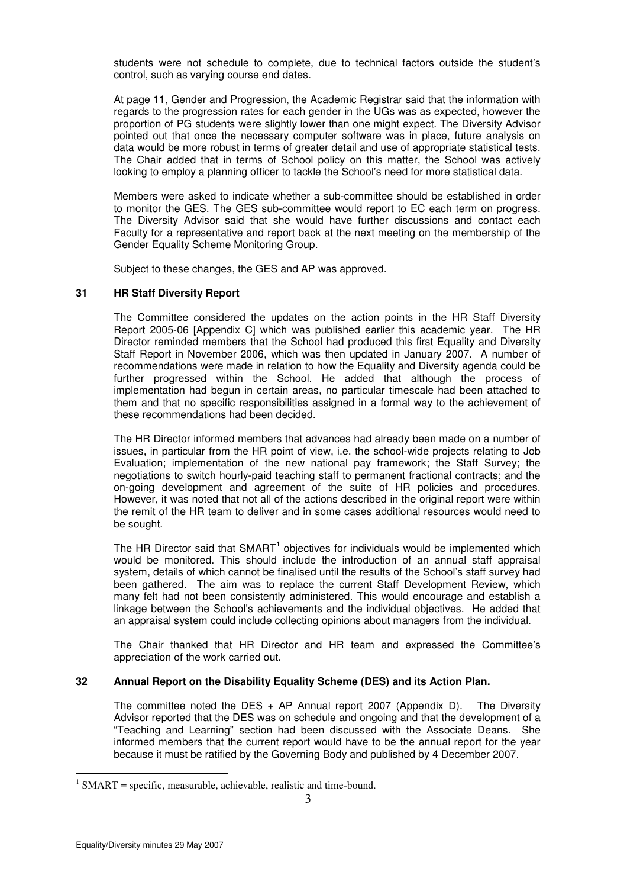students were not schedule to complete, due to technical factors outside the student's control, such as varying course end dates.

At page 11, Gender and Progression, the Academic Registrar said that the information with regards to the progression rates for each gender in the UGs was as expected, however the proportion of PG students were slightly lower than one might expect. The Diversity Advisor pointed out that once the necessary computer software was in place, future analysis on data would be more robust in terms of greater detail and use of appropriate statistical tests. The Chair added that in terms of School policy on this matter, the School was actively looking to employ a planning officer to tackle the School's need for more statistical data.

Members were asked to indicate whether a sub-committee should be established in order to monitor the GES. The GES sub-committee would report to EC each term on progress. The Diversity Advisor said that she would have further discussions and contact each Faculty for a representative and report back at the next meeting on the membership of the Gender Equality Scheme Monitoring Group.

Subject to these changes, the GES and AP was approved.

### **31 HR Staff Diversity Report**

The Committee considered the updates on the action points in the HR Staff Diversity Report 2005-06 [Appendix C] which was published earlier this academic year. The HR Director reminded members that the School had produced this first Equality and Diversity Staff Report in November 2006, which was then updated in January 2007. A number of recommendations were made in relation to how the Equality and Diversity agenda could be further progressed within the School. He added that although the process of implementation had begun in certain areas, no particular timescale had been attached to them and that no specific responsibilities assigned in a formal way to the achievement of these recommendations had been decided.

The HR Director informed members that advances had already been made on a number of issues, in particular from the HR point of view, i.e. the school-wide projects relating to Job Evaluation; implementation of the new national pay framework; the Staff Survey; the negotiations to switch hourly-paid teaching staff to permanent fractional contracts; and the on-going development and agreement of the suite of HR policies and procedures. However, it was noted that not all of the actions described in the original report were within the remit of the HR team to deliver and in some cases additional resources would need to be sought.

The HR Director said that  $S\text{MART}^1$  objectives for individuals would be implemented which would be monitored. This should include the introduction of an annual staff appraisal system, details of which cannot be finalised until the results of the School's staff survey had been gathered. The aim was to replace the current Staff Development Review, which many felt had not been consistently administered. This would encourage and establish a linkage between the School's achievements and the individual objectives. He added that an appraisal system could include collecting opinions about managers from the individual.

The Chair thanked that HR Director and HR team and expressed the Committee's appreciation of the work carried out.

### **32 Annual Report on the Disability Equality Scheme (DES) and its Action Plan.**

The committee noted the DES + AP Annual report 2007 (Appendix D). The Diversity Advisor reported that the DES was on schedule and ongoing and that the development of a "Teaching and Learning" section had been discussed with the Associate Deans. She informed members that the current report would have to be the annual report for the year because it must be ratified by the Governing Body and published by 4 December 2007.

<sup>&</sup>lt;sup>1</sup> SMART = specific, measurable, achievable, realistic and time-bound.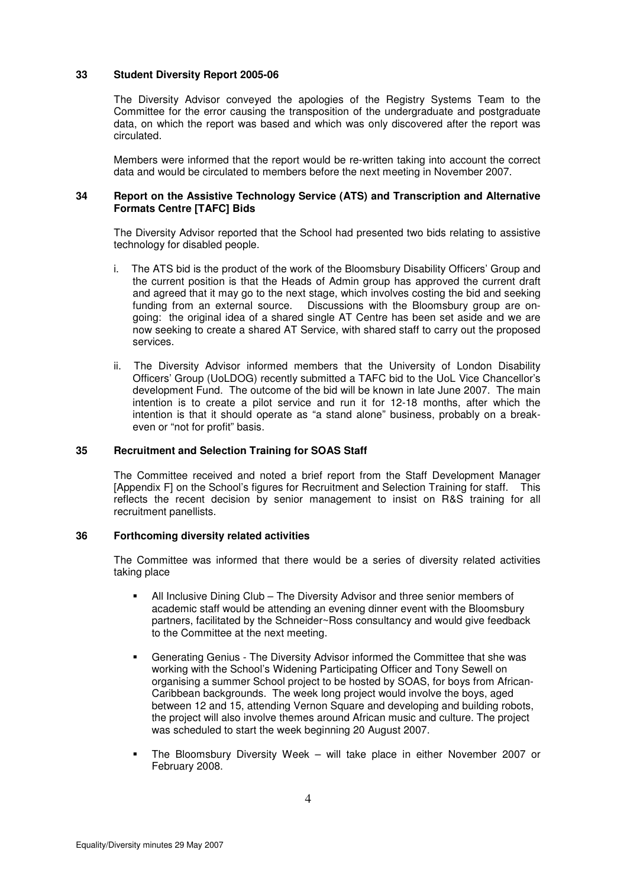### **33 Student Diversity Report 2005-06**

The Diversity Advisor conveyed the apologies of the Registry Systems Team to the Committee for the error causing the transposition of the undergraduate and postgraduate data, on which the report was based and which was only discovered after the report was circulated.

Members were informed that the report would be re-written taking into account the correct data and would be circulated to members before the next meeting in November 2007.

### **34 Report on the Assistive Technology Service (ATS) and Transcription and Alternative Formats Centre [TAFC] Bids**

The Diversity Advisor reported that the School had presented two bids relating to assistive technology for disabled people.

- i. The ATS bid is the product of the work of the Bloomsbury Disability Officers' Group and the current position is that the Heads of Admin group has approved the current draft and agreed that it may go to the next stage, which involves costing the bid and seeking funding from an external source. Discussions with the Bloomsbury group are ongoing: the original idea of a shared single AT Centre has been set aside and we are now seeking to create a shared AT Service, with shared staff to carry out the proposed services.
- ii. The Diversity Advisor informed members that the University of London Disability Officers' Group (UoLDOG) recently submitted a TAFC bid to the UoL Vice Chancellor's development Fund. The outcome of the bid will be known in late June 2007. The main intention is to create a pilot service and run it for 12-18 months, after which the intention is that it should operate as "a stand alone" business, probably on a breakeven or "not for profit" basis.

### **35 Recruitment and Selection Training for SOAS Staff**

 The Committee received and noted a brief report from the Staff Development Manager [Appendix F] on the School's figures for Recruitment and Selection Training for staff. This reflects the recent decision by senior management to insist on R&S training for all recruitment panellists.

### **36 Forthcoming diversity related activities**

The Committee was informed that there would be a series of diversity related activities taking place

- All Inclusive Dining Club The Diversity Advisor and three senior members of academic staff would be attending an evening dinner event with the Bloomsbury partners, facilitated by the Schneider~Ross consultancy and would give feedback to the Committee at the next meeting.
- Generating Genius The Diversity Advisor informed the Committee that she was working with the School's Widening Participating Officer and Tony Sewell on organising a summer School project to be hosted by SOAS, for boys from African-Caribbean backgrounds. The week long project would involve the boys, aged between 12 and 15, attending Vernon Square and developing and building robots, the project will also involve themes around African music and culture. The project was scheduled to start the week beginning 20 August 2007.
- The Bloomsbury Diversity Week will take place in either November 2007 or February 2008.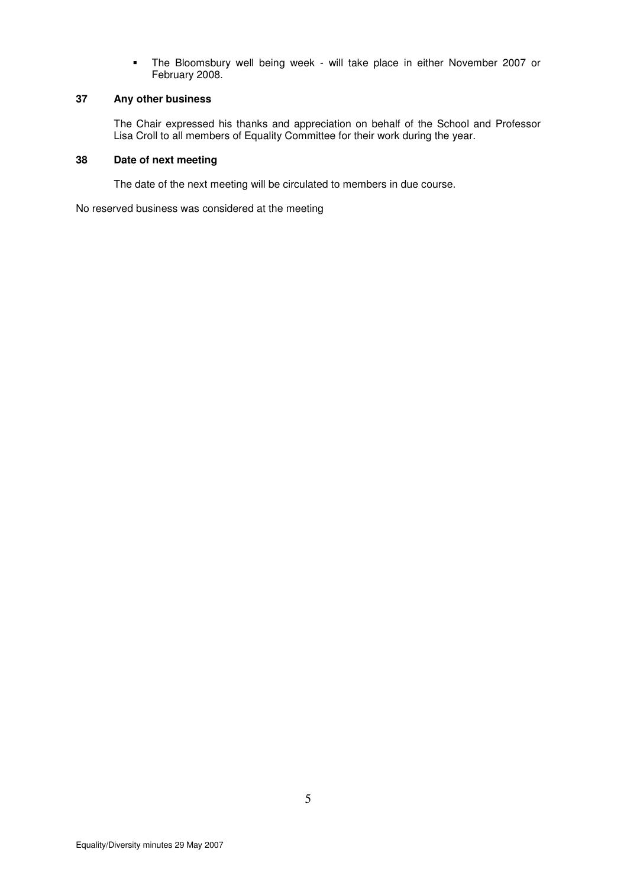The Bloomsbury well being week - will take place in either November 2007 or February 2008.

# **37 Any other business**

 The Chair expressed his thanks and appreciation on behalf of the School and Professor Lisa Croll to all members of Equality Committee for their work during the year.

### **38 Date of next meeting**

The date of the next meeting will be circulated to members in due course.

No reserved business was considered at the meeting